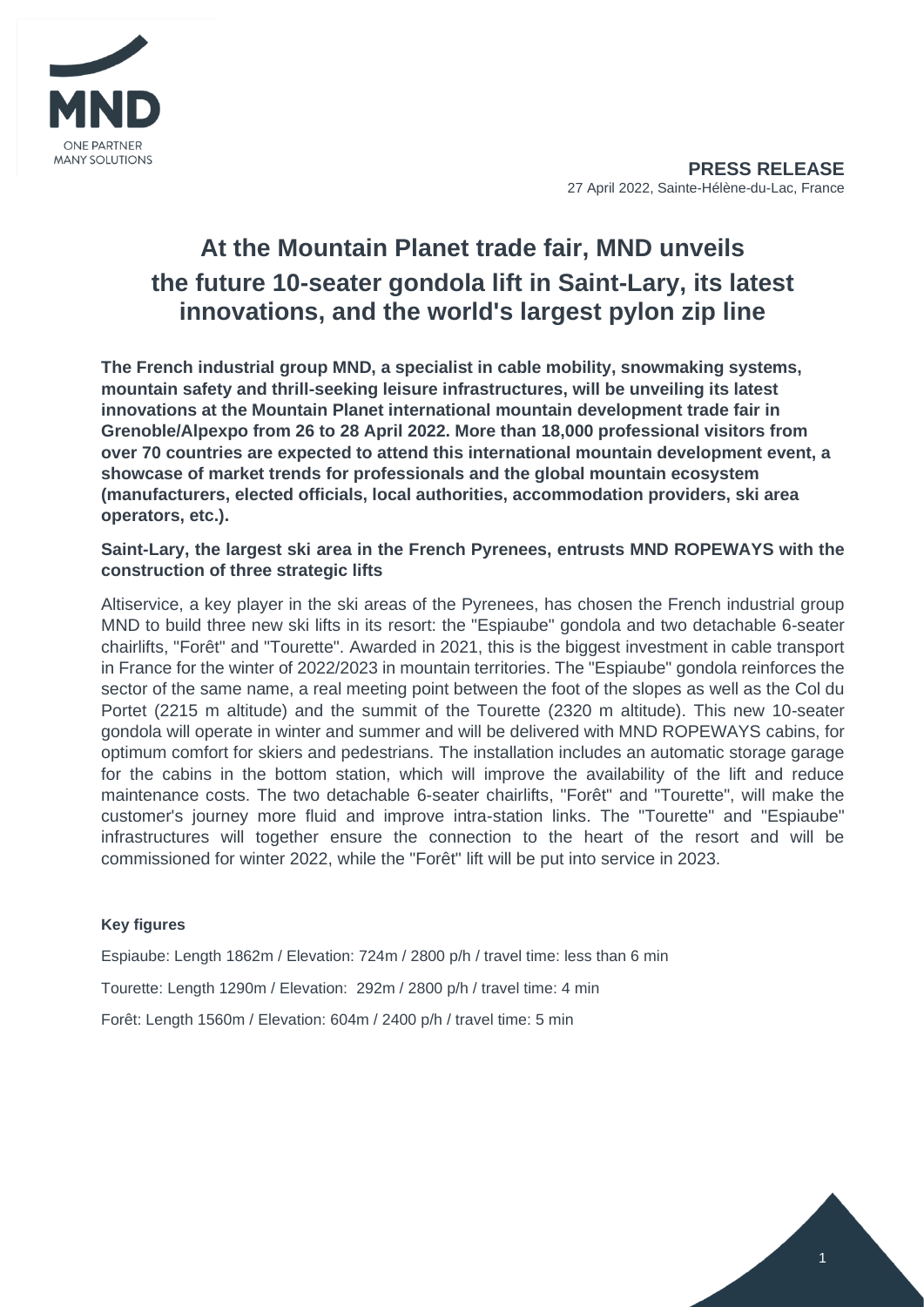

# **At the Mountain Planet trade fair, MND unveils the future 10-seater gondola lift in Saint-Lary, its latest innovations, and the world's largest pylon zip line**

**The French industrial group MND, a specialist in cable mobility, snowmaking systems, mountain safety and thrill-seeking leisure infrastructures, will be unveiling its latest innovations at the Mountain Planet international mountain development trade fair in Grenoble/Alpexpo from 26 to 28 April 2022. More than 18,000 professional visitors from over 70 countries are expected to attend this international mountain development event, a showcase of market trends for professionals and the global mountain ecosystem (manufacturers, elected officials, local authorities, accommodation providers, ski area operators, etc.).**

# **Saint-Lary, the largest ski area in the French Pyrenees, entrusts MND ROPEWAYS with the construction of three strategic lifts**

Altiservice, a key player in the ski areas of the Pyrenees, has chosen the French industrial group MND to build three new ski lifts in its resort: the "Espiaube" gondola and two detachable 6-seater chairlifts, "Forêt" and "Tourette". Awarded in 2021, this is the biggest investment in cable transport in France for the winter of 2022/2023 in mountain territories. The "Espiaube" gondola reinforces the sector of the same name, a real meeting point between the foot of the slopes as well as the Col du Portet (2215 m altitude) and the summit of the Tourette (2320 m altitude). This new 10-seater gondola will operate in winter and summer and will be delivered with MND ROPEWAYS cabins, for optimum comfort for skiers and pedestrians. The installation includes an automatic storage garage for the cabins in the bottom station, which will improve the availability of the lift and reduce maintenance costs. The two detachable 6-seater chairlifts, "Forêt" and "Tourette", will make the customer's journey more fluid and improve intra-station links. The "Tourette" and "Espiaube" infrastructures will together ensure the connection to the heart of the resort and will be commissioned for winter 2022, while the "Forêt" lift will be put into service in 2023.

### **Key figures**

Espiaube: Length 1862m / Elevation: 724m / 2800 p/h / travel time: less than 6 min

Tourette: Length 1290m / Elevation: 292m / 2800 p/h / travel time: 4 min

Forêt: Length 1560m / Elevation: 604m / 2400 p/h / travel time: 5 min

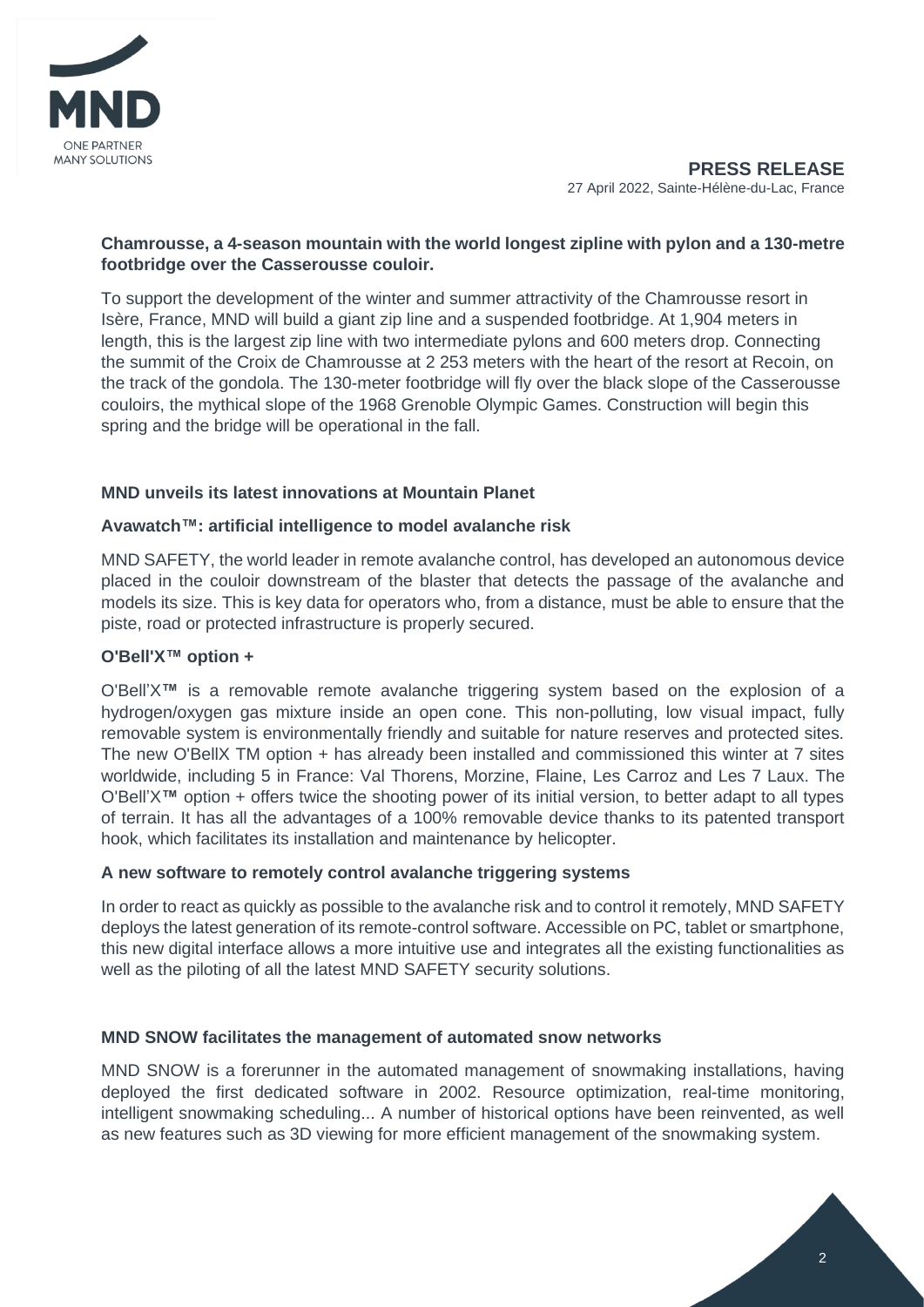

# **Chamrousse, a 4-season mountain with the world longest zipline with pylon and a 130-metre footbridge over the Casserousse couloir.**

To support the development of the winter and summer attractivity of the Chamrousse resort in Isère, France, MND will build a giant zip line and a suspended footbridge. At 1,904 meters in length, this is the largest zip line with two intermediate pylons and 600 meters drop. Connecting the summit of the Croix de Chamrousse at 2 253 meters with the heart of the resort at Recoin, on the track of the gondola. The 130-meter footbridge will fly over the black slope of the Casserousse couloirs, the mythical slope of the 1968 Grenoble Olympic Games. Construction will begin this spring and the bridge will be operational in the fall.

# **MND unveils its latest innovations at Mountain Planet**

### **Avawatch™: artificial intelligence to model avalanche risk**

MND SAFETY, the world leader in remote avalanche control, has developed an autonomous device placed in the couloir downstream of the blaster that detects the passage of the avalanche and models its size. This is key data for operators who, from a distance, must be able to ensure that the piste, road or protected infrastructure is properly secured.

## **O'Bell'X™ option +**

O'Bell'X**™** is a removable remote avalanche triggering system based on the explosion of a hydrogen/oxygen gas mixture inside an open cone. This non-polluting, low visual impact, fully removable system is environmentally friendly and suitable for nature reserves and protected sites. The new O'BellX TM option + has already been installed and commissioned this winter at 7 sites worldwide, including 5 in France: Val Thorens, Morzine, Flaine, Les Carroz and Les 7 Laux. The O'Bell'X**™** option + offers twice the shooting power of its initial version, to better adapt to all types of terrain. It has all the advantages of a 100% removable device thanks to its patented transport hook, which facilitates its installation and maintenance by helicopter.

### **A new software to remotely control avalanche triggering systems**

In order to react as quickly as possible to the avalanche risk and to control it remotely, MND SAFETY deploys the latest generation of its remote-control software. Accessible on PC, tablet or smartphone, this new digital interface allows a more intuitive use and integrates all the existing functionalities as well as the piloting of all the latest MND SAFETY security solutions.

### **MND SNOW facilitates the management of automated snow networks**

MND SNOW is a forerunner in the automated management of snowmaking installations, having deployed the first dedicated software in 2002. Resource optimization, real-time monitoring, intelligent snowmaking scheduling... A number of historical options have been reinvented, as well as new features such as 3D viewing for more efficient management of the snowmaking system.